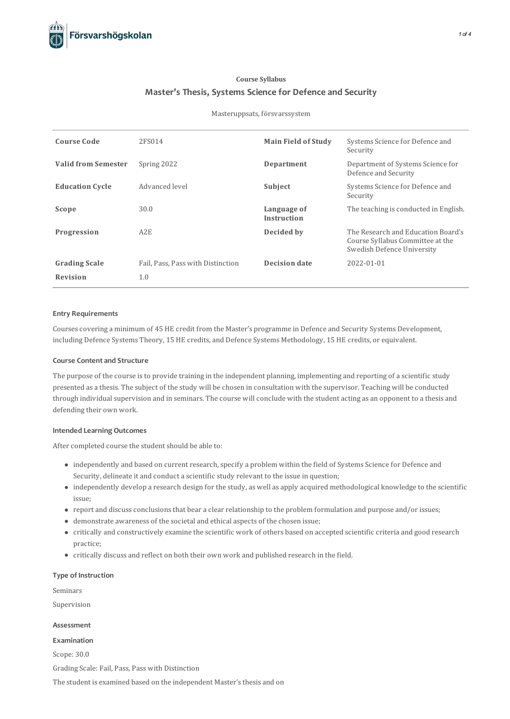# **Course Syllabus Master's Thesis, Systems Science for Defence and Security**

### Masteruppsats, försvarssystem

| <b>Course Code</b>         | 2FS014                            | <b>Main Field of Study</b> | Systems Science for Defence and<br>Security                                                          |
|----------------------------|-----------------------------------|----------------------------|------------------------------------------------------------------------------------------------------|
| <b>Valid from Semester</b> | Spring 2022                       | Department                 | Department of Systems Science for<br>Defence and Security                                            |
| <b>Education Cycle</b>     | Advanced level                    | Subject                    | Systems Science for Defence and<br>Security                                                          |
| Scope                      | 30.0                              | Language of<br>Instruction | The teaching is conducted in English.                                                                |
| Progression                | A2E                               | Decided by                 | The Research and Education Board's<br>Course Syllabus Committee at the<br>Swedish Defence University |
| <b>Grading Scale</b>       | Fail, Pass, Pass with Distinction | Decision date              | 2022-01-01                                                                                           |
| Revision                   | 1.0                               |                            |                                                                                                      |

## **Entry Requirements**

Coursescovering a minimum of 45 HE credit from the Master's programme in Defence and Security Systems Development, including Defence Systems Theory, 15 HE credits, and Defence Systems Methodology, 15 HE credits, or equivalent.

## **Course Contentand Structure**

The purpose of the course isto provide training in the independent planning, implementing and reporting of a scientific study presented as a thesis. The subject of the study will be chosen in consultation with the supervisor. Teaching will be conducted through individual supervision and in seminars. The course will conclude with the student acting as an opponent to a thesis and defending their own work.

#### **Intended Learning Outcomes**

After completed course the student should be able to:

- $\bullet$  independently and based on current research, specify a problem within the field of Systems Science for Defence and Security, delineate it and conduct a scientific study relevant to the issue in question;
- independently develop a research design for the study, as well as apply acquired methodological knowledge to the scientific issue;
- report and discuss conclusions that bear a clear relationship to the problem formulation and purpose and/or issues;
- demonstrate awareness of the societal and ethical aspects of the chosen issue;
- critically and constructively examine the scientific work of others based on accepted scientific criteria and good research practice;
- critically discuss and reflect on both their own work and published research in the field.

## **Type of Instruction**

Seminars

Supervision

#### **Assessment**

# **Examination**

Scope: 30.0 Grading Scale: Fail, Pass, Pass with Distinction The student is examined based on the independent Master's thesis and on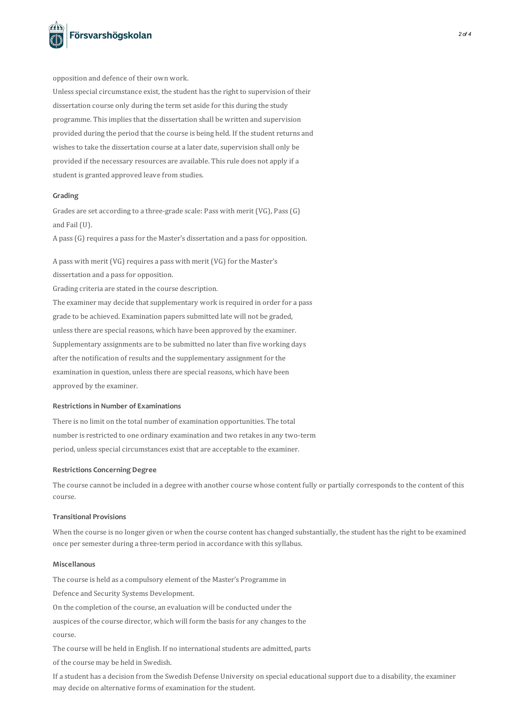

opposition and defence of their own work.

Unless special circumstance exist, the student has the right to supervision of their dissertation course only during the term set aside for this during the study programme. This implies that the dissertation shall be written and supervision provided during the period that the course is being held. If the student returns and wishes to take the dissertation course at a later date, supervision shall only be provided if the necessary resources are available. This rule does not apply if a student is granted approved leave from studies.

#### **Grading**

Grades are set according to a three-grade scale: Pass with merit (VG), Pass(G) and Fail (U).

A pass (G) requires a pass for the Master's dissertation and a pass for opposition.

A pass with merit (VG) requires a pass with merit (VG) for the Master's dissertation and a pass for opposition.

Grading criteria are stated in the course description.

The examiner may decide that supplementary work is required in order for a pass grade to be achieved. Examination paperssubmitted late will not be graded, unless there are special reasons, which have been approved by the examiner. Supplementary assignments are to be submitted no later than five working days after the notification of results and the supplementary assignment for the examination in question, unless there are special reasons, which have been approved by the examiner.

## **Restrictionsin Number of Examinations**

There is no limit on the total number of examination opportunities. The total number is restricted to one ordinary examination and two retakes in any two-term period, unless special circumstances exist that are acceptable to the examiner.

### **Restrictions Concerning Degree**

The course cannot be included in a degree with another course whose content fully or partially corresponds to the content of this course.

## **Transitional Provisions**

When the course is no longer given or when the course content has changed substantially, the student has the right to be examined once per semester during a three-term period in accordance with this syllabus.

# **Miscellanous**

The course is held as a compulsory element of the Master's Programme in

Defence and Security Systems Development.

On the completion of the course, an evaluation will be conducted under the

auspices of the course director, which will form the basis for any changes to the

course.

The course will be held in English. If no international students are admitted, parts

of the course may be held in Swedish.

If a student has a decision from the Swedish Defense University on special educationalsupport due to a disability, the examiner may decide on alternative forms of examination for the student.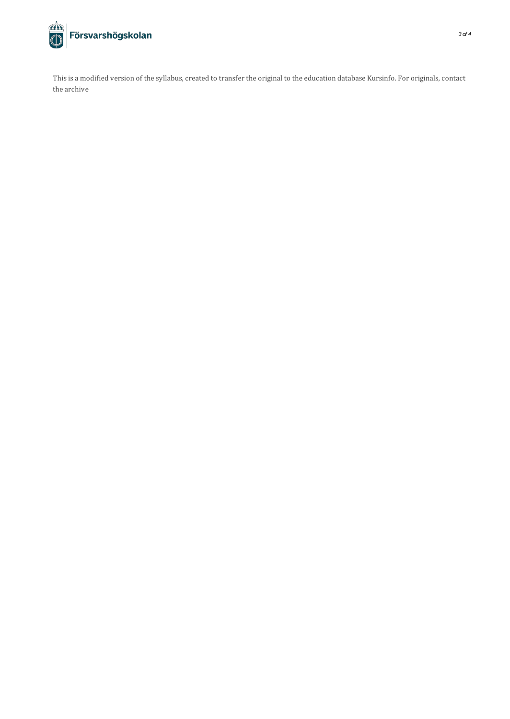

This is a modified version of the syllabus, created to transfer the original to the education database Kursinfo. For originals, contact the archive